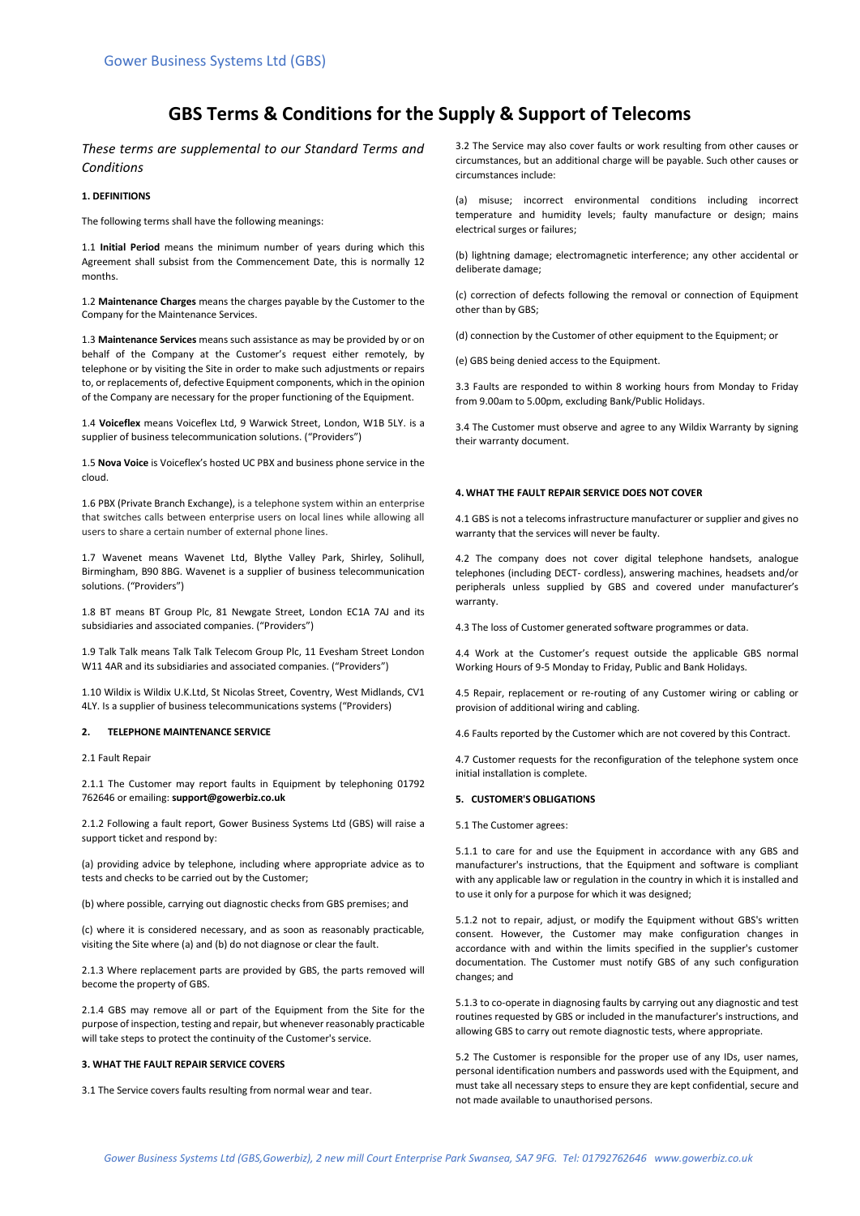# **GBS Terms & Conditions for the Supply & Support of Telecoms**

*These terms are supplemental to our Standard Terms and Conditions*

## **1. DEFINITIONS**

The following terms shall have the following meanings:

1.1 **Initial Period** means the minimum number of years during which this Agreement shall subsist from the Commencement Date, this is normally 12 months.

1.2 **Maintenance Charges** means the charges payable by the Customer to the Company for the Maintenance Services.

1.3 **Maintenance Services** means such assistance as may be provided by or on behalf of the Company at the Customer's request either remotely, by telephone or by visiting the Site in order to make such adjustments or repairs to, or replacements of, defective Equipment components, which in the opinion of the Company are necessary for the proper functioning of the Equipment.

1.4 **Voiceflex** means Voiceflex Ltd, 9 Warwick Street, London, W1B 5LY. is a supplier of business telecommunication solutions. ("Providers")

1.5 **Nova Voice** is Voiceflex's hosted UC PBX and business phone service in the cloud.

1.6 PBX (Private Branch Exchange), is a telephone system within an enterprise that switches calls between enterprise users on local lines while allowing all users to share a certain number of external phone lines.

1.7 Wavenet means Wavenet Ltd, Blythe Valley Park, Shirley, Solihull, Birmingham, B90 8BG. Wavenet is a supplier of business telecommunication solutions. ("Providers")

1.8 BT means BT Group Plc, 81 Newgate Street, London EC1A 7AJ and its subsidiaries and associated companies. ("Providers")

1.9 Talk Talk means Talk Talk Telecom Group Plc, 11 Evesham Street London W11 4AR and its subsidiaries and associated companies. ("Providers")

1.10 Wildix is Wildix U.K.Ltd, St Nicolas Street, Coventry, West Midlands, CV1 4LY. Is a supplier of business telecommunications systems ("Providers)

## **2. TELEPHONE MAINTENANCE SERVICE**

2.1 Fault Repair

2.1.1 The Customer may report faults in Equipment by telephoning 01792 762646 or emailing: **support@gowerbiz.co.uk**

2.1.2 Following a fault report, Gower Business Systems Ltd (GBS) will raise a support ticket and respond by:

(a) providing advice by telephone, including where appropriate advice as to tests and checks to be carried out by the Customer;

(b) where possible, carrying out diagnostic checks from GBS premises; and

(c) where it is considered necessary, and as soon as reasonably practicable, visiting the Site where (a) and (b) do not diagnose or clear the fault.

2.1.3 Where replacement parts are provided by GBS, the parts removed will become the property of GBS.

2.1.4 GBS may remove all or part of the Equipment from the Site for the purpose of inspection, testing and repair, but whenever reasonably practicable will take steps to protect the continuity of the Customer's service.

## **3. WHAT THE FAULT REPAIR SERVICE COVERS**

3.1 The Service covers faults resulting from normal wear and tear.

3.2 The Service may also cover faults or work resulting from other causes or circumstances, but an additional charge will be payable. Such other causes or circumstances include:

(a) misuse; incorrect environmental conditions including incorrect temperature and humidity levels; faulty manufacture or design; mains electrical surges or failures;

(b) lightning damage; electromagnetic interference; any other accidental or deliberate damage;

(c) correction of defects following the removal or connection of Equipment other than by GBS;

(d) connection by the Customer of other equipment to the Equipment; or

(e) GBS being denied access to the Equipment.

3.3 Faults are responded to within 8 working hours from Monday to Friday from 9.00am to 5.00pm, excluding Bank/Public Holidays.

3.4 The Customer must observe and agree to any Wildix Warranty by signing their warranty document.

#### **4. WHAT THE FAULT REPAIR SERVICE DOES NOT COVER**

4.1 GBS is not a telecoms infrastructure manufacturer or supplier and gives no warranty that the services will never be faulty.

4.2 The company does not cover digital telephone handsets, analogue telephones (including DECT- cordless), answering machines, headsets and/or peripherals unless supplied by GBS and covered under manufacturer's warranty.

4.3 The loss of Customer generated software programmes or data.

4.4 Work at the Customer's request outside the applicable GBS normal Working Hours of 9-5 Monday to Friday, Public and Bank Holidays.

4.5 Repair, replacement or re-routing of any Customer wiring or cabling or provision of additional wiring and cabling.

4.6 Faults reported by the Customer which are not covered by this Contract.

4.7 Customer requests for the reconfiguration of the telephone system once initial installation is complete.

# **5. CUSTOMER'S OBLIGATIONS**

5.1 The Customer agrees:

5.1.1 to care for and use the Equipment in accordance with any GBS and manufacturer's instructions, that the Equipment and software is compliant with any applicable law or regulation in the country in which it is installed and to use it only for a purpose for which it was designed;

5.1.2 not to repair, adjust, or modify the Equipment without GBS's written consent. However, the Customer may make configuration changes in accordance with and within the limits specified in the supplier's customer documentation. The Customer must notify GBS of any such configuration changes; and

5.1.3 to co-operate in diagnosing faults by carrying out any diagnostic and test routines requested by GBS or included in the manufacturer's instructions, and allowing GBS to carry out remote diagnostic tests, where appropriate.

5.2 The Customer is responsible for the proper use of any IDs, user names, personal identification numbers and passwords used with the Equipment, and must take all necessary steps to ensure they are kept confidential, secure and not made available to unauthorised persons.